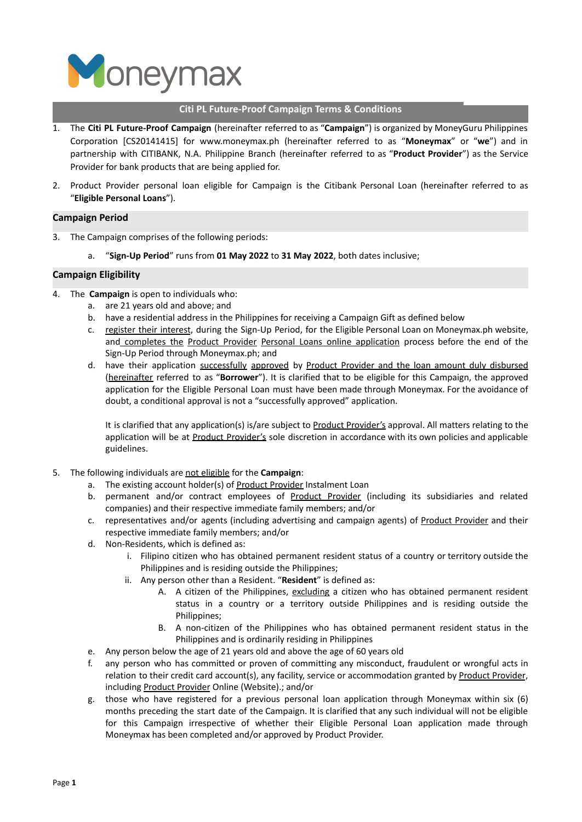

## **Citi PL Future-Proof Campaign Terms & Conditions**

- 1. The **Citi PL Future-Proof Campaign** (hereinafter referred to as "**Campaign**") is organized by MoneyGuru Philippines Corporation [CS20141415] for www.moneymax.ph (hereinafter referred to as "**Moneymax**" or "**we**") and in partnership with CITIBANK, N.A. Philippine Branch (hereinafter referred to as "**Product Provider**") as the Service Provider for bank products that are being applied for.
- 2. Product Provider personal loan eligible for Campaign is the Citibank Personal Loan (hereinafter referred to as "**Eligible Personal Loans**").

### **Campaign Period**

- 3. The Campaign comprises of the following periods:
	- a. "**Sign-Up Period**" runs from **01 May 2022** to **31 May 2022**, both dates inclusive;

### **Campaign Eligibility**

- 4. The **Campaign** is open to individuals who:
	- a. are 21 years old and above; and
	- b. have a residential address in the Philippines for receiving a Campaign Gift as defined below
	- c. register their interest, during the Sign-Up Period, for the Eligible Personal Loan on Moneymax.ph website, and completes the Product Provider Personal Loans online application process before the end of the Sign-Up Period through Moneymax.ph; and
	- d. have their application successfully approved by Product Provider and the loan amount duly disbursed (hereinafter referred to as "**Borrower**"). It is clarified that to be eligible for this Campaign, the approved application for the Eligible Personal Loan must have been made through Moneymax. For the avoidance of doubt, a conditional approval is not a "successfully approved" application.

It is clarified that any application(s) is/are subject to Product Provider's approval. All matters relating to the application will be at Product Provider's sole discretion in accordance with its own policies and applicable guidelines.

- 5. The following individuals are not eligible for the **Campaign**:
	- a. The existing account holder(s) of Product Provider Instalment Loan
	- b. permanent and/or contract employees of Product Provider (including its subsidiaries and related companies) and their respective immediate family members; and/or
	- c. representatives and/or agents (including advertising and campaign agents) of Product Provider and their respective immediate family members; and/or
	- d. Non-Residents, which is defined as:
		- i. Filipino citizen who has obtained permanent resident status of a country or territory outside the Philippines and is residing outside the Philippines;
		- ii. Any person other than a Resident. "**Resident**" is defined as:
			- A. A citizen of the Philippines, excluding a citizen who has obtained permanent resident status in a country or a territory outside Philippines and is residing outside the Philippines;
			- B. A non-citizen of the Philippines who has obtained permanent resident status in the Philippines and is ordinarily residing in Philippines
	- e. Any person below the age of 21 years old and above the age of 60 years old
	- f. any person who has committed or proven of committing any misconduct, fraudulent or wrongful acts in relation to their credit card account(s), any facility, service or accommodation granted by Product Provider, including Product Provider Online (Website).; and/or
	- g. those who have registered for a previous personal loan application through Moneymax within six (6) months preceding the start date of the Campaign. It is clarified that any such individual will not be eligible for this Campaign irrespective of whether their Eligible Personal Loan application made through Moneymax has been completed and/or approved by Product Provider.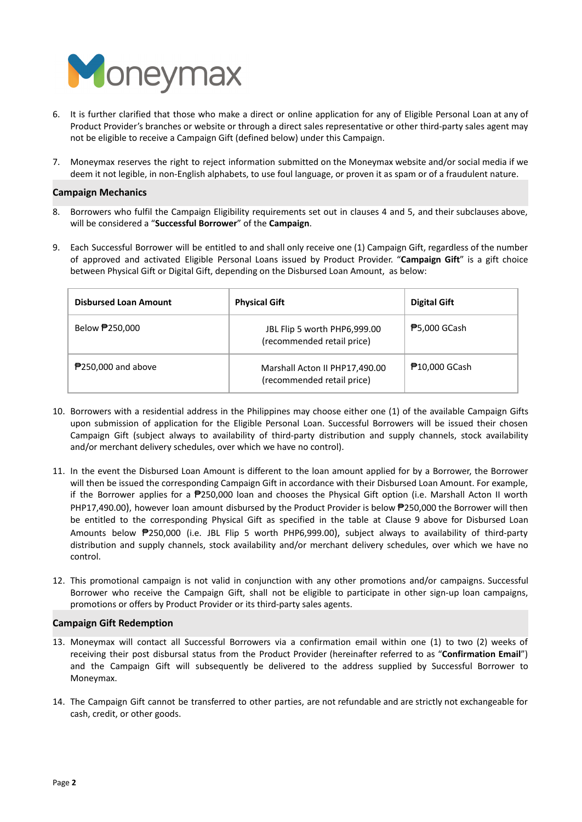

- 6. It is further clarified that those who make a direct or online application for any of Eligible Personal Loan at any of Product Provider's branches or website or through a direct sales representative or other third-party sales agent may not be eligible to receive a Campaign Gift (defined below) under this Campaign.
- 7. Moneymax reserves the right to reject information submitted on the Moneymax website and/or social media if we deem it not legible, in non-English alphabets, to use foul language, or proven it as spam or of a fraudulent nature.

## **Campaign Mechanics**

- 8. Borrowers who fulfil the Campaign Eligibility requirements set out in clauses 4 and 5, and their subclauses above, will be considered a "**Successful Borrower**" of the **Campaign**.
- 9. Each Successful Borrower will be entitled to and shall only receive one (1) Campaign Gift, regardless of the number of approved and activated Eligible Personal Loans issued by Product Provider. "**Campaign Gift**" is a gift choice between Physical Gift or Digital Gift, depending on the Disbursed Loan Amount, as below:

| <b>Disbursed Loan Amount</b> | <b>Physical Gift</b>                                         | <b>Digital Gift</b>  |
|------------------------------|--------------------------------------------------------------|----------------------|
| Below <b>₱</b> 250,000       | JBL Flip 5 worth PHP6,999.00<br>(recommended retail price)   | <b>₱</b> 5,000 GCash |
| $P$ 250,000 and above        | Marshall Acton II PHP17,490.00<br>(recommended retail price) | <b>尹10,000 GCash</b> |

- 10. Borrowers with a residential address in the Philippines may choose either one (1) of the available Campaign Gifts upon submission of application for the Eligible Personal Loan. Successful Borrowers will be issued their chosen Campaign Gift (subject always to availability of third-party distribution and supply channels, stock availability and/or merchant delivery schedules, over which we have no control).
- 11. In the event the Disbursed Loan Amount is different to the loan amount applied for by a Borrower, the Borrower will then be issued the corresponding Campaign Gift in accordance with their Disbursed Loan Amount. For example, if the Borrower applies for a ₱250,000 loan and chooses the Physical Gift option (i.e. Marshall Acton II worth PHP17,490.00), however loan amount disbursed by the Product Provider is below ₱250,000 the Borrower will then be entitled to the corresponding Physical Gift as specified in the table at Clause 9 above for Disbursed Loan Amounts below ₱250,000 (i.e. JBL Flip 5 worth PHP6,999.00), subject always to availability of third-party distribution and supply channels, stock availability and/or merchant delivery schedules, over which we have no control.
- 12. This promotional campaign is not valid in conjunction with any other promotions and/or campaigns. Successful Borrower who receive the Campaign Gift, shall not be eligible to participate in other sign-up loan campaigns, promotions or offers by Product Provider or its third-party sales agents.

### **Campaign Gift Redemption**

- 13. Moneymax will contact all Successful Borrowers via a confirmation email within one (1) to two (2) weeks of receiving their post disbursal status from the Product Provider (hereinafter referred to as "**Confirmation Email**") and the Campaign Gift will subsequently be delivered to the address supplied by Successful Borrower to Moneymax.
- 14. The Campaign Gift cannot be transferred to other parties, are not refundable and are strictly not exchangeable for cash, credit, or other goods.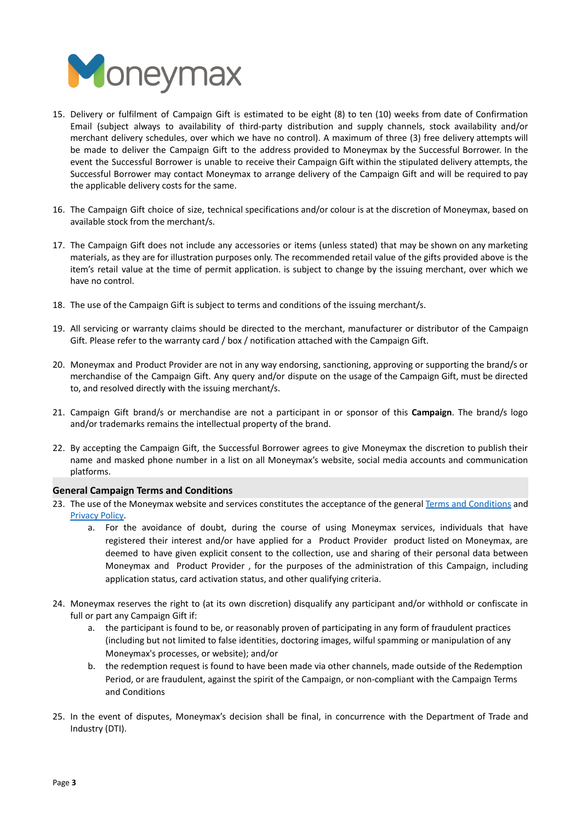

- 15. Delivery or fulfilment of Campaign Gift is estimated to be eight (8) to ten (10) weeks from date of Confirmation Email (subject always to availability of third-party distribution and supply channels, stock availability and/or merchant delivery schedules, over which we have no control). A maximum of three (3) free delivery attempts will be made to deliver the Campaign Gift to the address provided to Moneymax by the Successful Borrower. In the event the Successful Borrower is unable to receive their Campaign Gift within the stipulated delivery attempts, the Successful Borrower may contact Moneymax to arrange delivery of the Campaign Gift and will be required to pay the applicable delivery costs for the same.
- 16. The Campaign Gift choice of size, technical specifications and/or colour is at the discretion of Moneymax, based on available stock from the merchant/s.
- 17. The Campaign Gift does not include any accessories or items (unless stated) that may be shown on any marketing materials, as they are for illustration purposes only. The recommended retail value of the gifts provided above is the item's retail value at the time of permit application. is subject to change by the issuing merchant, over which we have no control.
- 18. The use of the Campaign Gift is subject to terms and conditions of the issuing merchant/s.
- 19. All servicing or warranty claims should be directed to the merchant, manufacturer or distributor of the Campaign Gift. Please refer to the warranty card / box / notification attached with the Campaign Gift.
- 20. Moneymax and Product Provider are not in any way endorsing, sanctioning, approving or supporting the brand/s or merchandise of the Campaign Gift. Any query and/or dispute on the usage of the Campaign Gift, must be directed to, and resolved directly with the issuing merchant/s.
- 21. Campaign Gift brand/s or merchandise are not a participant in or sponsor of this **Campaign**. The brand/s logo and/or trademarks remains the intellectual property of the brand.
- 22. By accepting the Campaign Gift, the Successful Borrower agrees to give Moneymax the discretion to publish their name and masked phone number in a list on all Moneymax's website, social media accounts and communication platforms.

# **General Campaign Terms and Conditions**

- 23. The use of the Moneymax website and services constitutes the acceptance of the general Terms and [Conditions](https://www.moneymax.ph/terms-and-conditions) and [Privacy](https://www.moneymax.ph/privacy-policy) Policy.
	- a. For the avoidance of doubt, during the course of using Moneymax services, individuals that have registered their interest and/or have applied for a Product Provider product listed on Moneymax, are deemed to have given explicit consent to the collection, use and sharing of their personal data between Moneymax and Product Provider , for the purposes of the administration of this Campaign, including application status, card activation status, and other qualifying criteria.
- 24. Moneymax reserves the right to (at its own discretion) disqualify any participant and/or withhold or confiscate in full or part any Campaign Gift if:
	- a. the participant is found to be, or reasonably proven of participating in any form of fraudulent practices (including but not limited to false identities, doctoring images, wilful spamming or manipulation of any Moneymax's processes, or website); and/or
	- b. the redemption request is found to have been made via other channels, made outside of the Redemption Period, or are fraudulent, against the spirit of the Campaign, or non-compliant with the Campaign Terms and Conditions
- 25. In the event of disputes, Moneymax's decision shall be final, in concurrence with the Department of Trade and Industry (DTI).